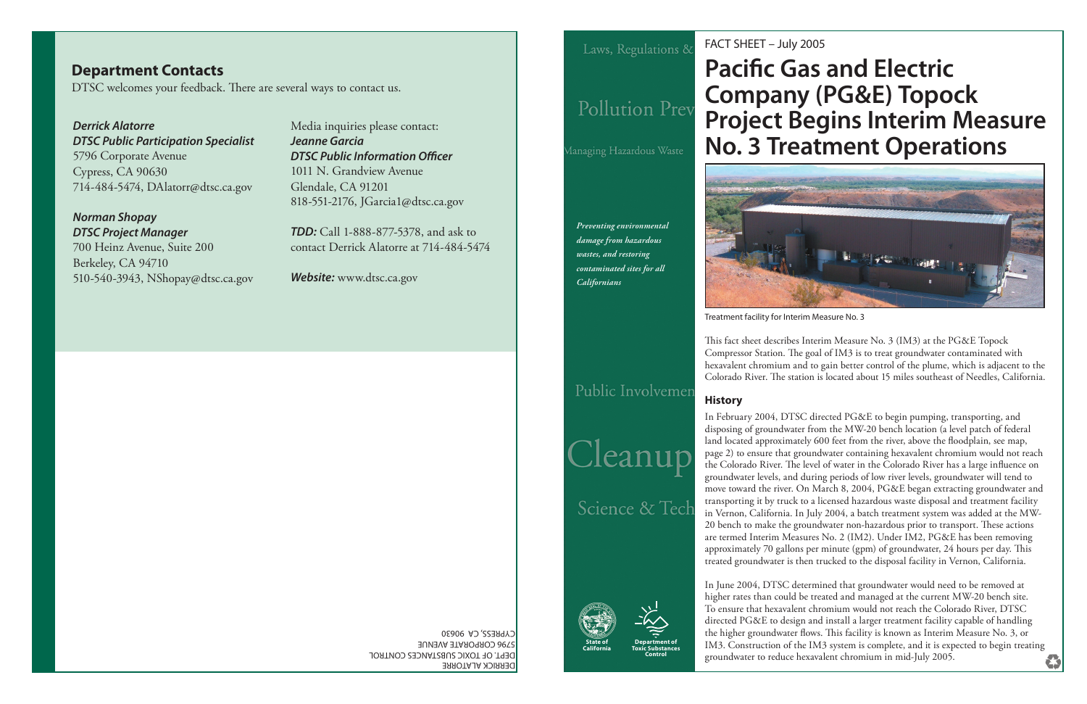*Preventing environmental damage from hazardous wastes, and restoring contaminated sites for all Californians*

DERRICK ALATORRE

DEPT. OF TOXIC SUBSTANCES CONTROL

5796 CORPORATE AVENUE CYPRESS, CA 90630

**Department of Toxic SubstancesControl**



## FACT SHEET – July 2005 **Pacific Gas and Electric Company (PG&E) Topock Project Begins Interim Measure No. 3 Treatment Operations**



Treatment facility for Interim Measure No. 3

This fact sheet describes Interim Measure No. 3 (IM3) at the PG&E Topock Compressor Station. The goal of IM3 is to treat groundwater contaminated with hexavalent chromium and to gain better control of the plume, which is adjacent to the Colorado River. The station is located about 15 miles southeast of Needles, California.

#### **History**

### **Department Contacts** DTSC welcomes your feedback. There are several ways to contact us.

In February 2004, DTSC directed PG&E to begin pumping, transporting, and disposing of groundwater from the MW-20 bench location (a level patch of federal land located approximately 600 feet from the river, above the floodplain, see map, page 2) to ensure that groundwater containing hexavalent chromium would not reach the Colorado River. The level of water in the Colorado River has a large influence on groundwater levels, and during periods of low river levels, groundwater will tend to move toward the river. On March 8, 2004, PG&E began extracting groundwater and transporting it by truck to a licensed hazardous waste disposal and treatment facility in Vernon, California. In July 2004, a batch treatment system was added at the MW-20 bench to make the groundwater non-hazardous prior to transport. These actions are termed Interim Measures No. 2 (IM2). Under IM2, PG&E has been removing approximately 70 gallons per minute (gpm) of groundwater, 24 hours per day. This treated groundwater is then trucked to the disposal facility in Vernon, California.

In June 2004, DTSC determined that groundwater would need to be removed at higher rates than could be treated and managed at the current MW-20 bench site. To ensure that hexavalent chromium would not reach the Colorado River, DTSC directed PG&E to design and install a larger treatment facility capable of handling the higher groundwater flows. This facility is known as Interim Measure No. 3, or IM3. Construction of the IM3 system is complete, and it is expected to begin treating groundwater to reduce hexavalent chromium in mid-July 2005.

## Public Involvemer

Cleanup

Science & Tech

*Derrick AlatorreDTSC Public Participation Specialist* 5796 Corporate Avenue Cypress, CA 90630 714-484-5474, DAlatorr@dtsc.ca.gov

*Norman Shopay DTSC Project Manager* 700 Heinz Avenue, Suite 200 Berkeley, CA 94710 510-540-3943, NShopay@dtsc.ca.gov

Media inquiries please contact: *Jeanne Garcia* **DTSC Public Information Officer** 1011 N. Grandview AvenueGlendale, CA 91201 818-551-2176, JGarcia1@dtsc.ca.gov

*TDD:* Call 1-888-877-5378, and ask to contact Derrick Alatorre at 714-484-5474

*Website:* www.dtsc.ca.gov

Laws, Regulations &

# Pollution Prev

Managing Hazardous Waste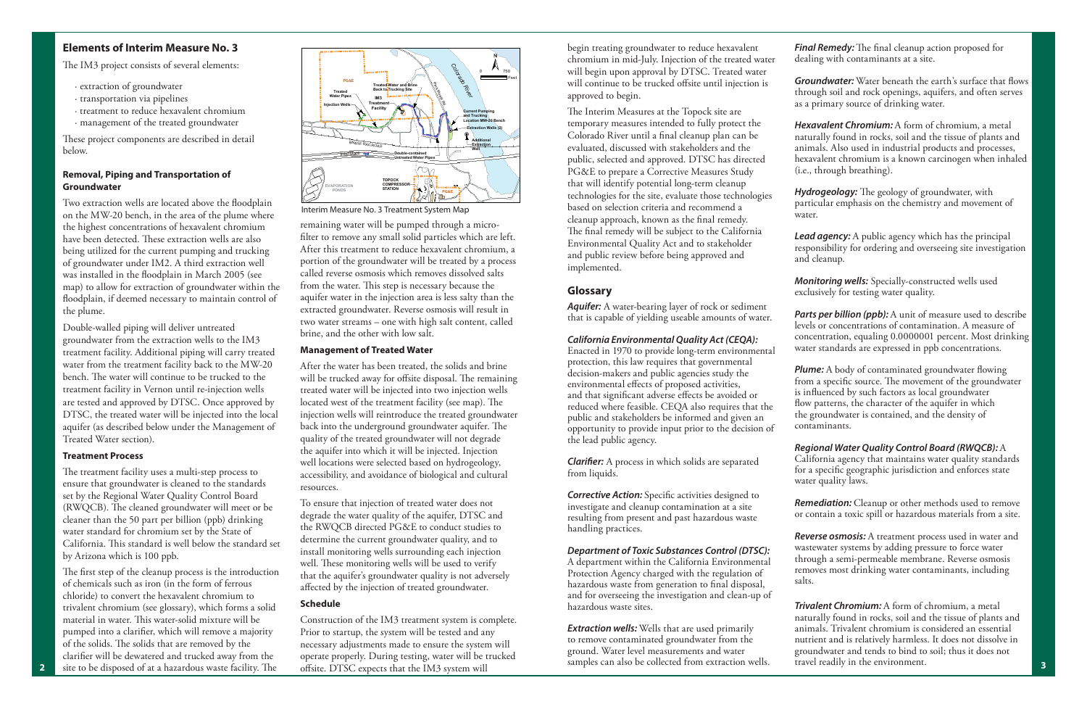#### **Elements of Interim Measure No. 3**

The IM3 project consists of several elements:

These project components are described in detail below.

- · extraction of groundwater
- · transportation via pipelines
- · treatment to reduce hexavalent chromium
- · management of the treated groundwater

#### **Removal, Piping and Transportation of Groundwater**

Two extraction wells are located above the floodplain on the MW-20 bench, in the area of the plume where the highest concentrations of hexavalent chromium have been detected. These extraction wells are also being utilized for the current pumping and trucking of groundwater under IM2. A third extraction well was installed in the floodplain in March 2005 (see map) to allow for extraction of groundwater within the floodplain, if deemed necessary to maintain control of the plume.

The treatment facility uses a multi-step process to ensure that groundwater is cleaned to the standards set by the Regional Water Quality Control Board (RWQCB). The cleaned groundwater will meet or be cleaner than the 50 part per billion (ppb) drinking water standard for chromium set by the State of California. This standard is well below the standard set by Arizona which is 100 ppb.

The first step of the cleanup process is the introduction of chemicals such as iron (in the form of ferrous chloride) to convert the hexavalent chromium to trivalent chromium (see glossary), which forms a solid material in water. This water-solid mixture will be pumped into a clarifier, which will remove a majority of the solids. The solids that are removed by the clarifier will be dewatered and trucked away from the site to be disposed of at a hazardous waste facility. The

Double-walled piping will deliver untreated groundwater from the extraction wells to the IM3 treatment facility. Additional piping will carry treated water from the treatment facility back to the MW-20 bench. The water will continue to be trucked to the treatment facility in Vernon until re-injection wells are tested and approved by DTSC. Once approved by DTSC, the treated water will be injected into the local aquifer (as described below under the Management of Treated Water section).

#### **Treatment Process**

To ensure that injection of treated water does not degrade the water quality of the aquifer, DTSC and the RWQCB directed PG&E to conduct studies to determine the current groundwater quality, and to install monitoring wells surrounding each injection well. These monitoring wells will be used to verify that the aquifer's groundwater quality is not adversely affected by the injection of treated groundwater.

Construction of the IM3 treatment system is complete. Prior to startup, the system will be tested and any necessary adjustments made to ensure the system will operate properly. During testing, water will be trucked offsite. DTSC expects that the IM3 system will

The Interim Measures at the Topock site are temporary measures intended to fully protect the Colorado River until a final cleanup plan can be evaluated, discussed with stakeholders and the public, selected and approved. DTSC has directed PG&E to prepare a Corrective Measures Study that will identify potential long-term cleanup technologies for the site, evaluate those technologies based on selection criteria and recommend a cleanup approach, known as the final remedy. The final remedy will be subject to the California Environmental Quality Act and to stakeholder and public review before being approved and implemented.

remaining water will be pumped through a microfilter to remove any small solid particles which are left. After this treatment to reduce hexavalent chromium, a portion of the groundwater will be treated by a process called reverse osmosis which removes dissolved salts from the water. This step is necessary because the aquifer water in the injection area is less salty than the extracted groundwater. Reverse osmosis will result in two water streams – one with high salt content, called brine, and the other with low salt.

#### **Management of Treated Water**

**Clarifier:** A process in which solids are separated from liquids.

**Corrective Action:** Specific activities designed to investigate and cleanup contamination at a site resulting from present and past hazardous waste handling practices.

After the water has been treated, the solids and brine will be trucked away for offsite disposal. The remaining treated water will be injected into two injection wells located west of the treatment facility (see map). The injection wells will reintroduce the treated groundwater back into the underground groundwater aquifer. The quality of the treated groundwater will not degrade the aquifer into which it will be injected. Injection well locations were selected based on hydrogeology, accessibility, and avoidance of biological and cultural resources.

**Final Remedy:** The final cleanup action proposed for dealing with contaminants at a site.

**Groundwater:** Water beneath the earth's surface that flows through soil and rock openings, aquifers, and often serves as a primary source of drinking water.

*Hydrogeology:* The geology of groundwater, with particular emphasis on the chemistry and movement of water.

*Parts per billion (ppb):* A unit of measure used to describe levels or concentrations of contamination. A measure of concentration, equaling 0.0000001 percent. Most drinking water standards are expressed in ppb concentrations.

#### **Schedule**

**Plume:** A body of contaminated groundwater flowing from a specific source. The movement of the groundwater is influenced by such factors as local groundwater flow patterns, the character of the aquifer in which the groundwater is contained, and the density of contaminants.

begin treating groundwater to reduce hexavalent chromium in mid-July. Injection of the treated water will begin upon approval by DTSC. Treated water will continue to be trucked offsite until injection is approved to begin.

#### **Glossary**

*Aquifer:* A water-bearing layer of rock or sediment that is capable of yielding useable amounts of water.

#### *California Environmental Quality Act (CEQA):*

Enacted in 1970 to provide long-term environmental protection, this law requires that governmental decision-makers and public agencies study the environmental effects of proposed activities, and that significant adverse effects be avoided or reduced where feasible. CEQA also requires that the public and stakeholders be informed and given an opportunity to provide input prior to the decision of the lead public agency.

#### *Department of Toxic Substances Control (DTSC):*

A department within the California Environmental Protection Agency charged with the regulation of hazardous waste from generation to final disposal, and for overseeing the investigation and clean-up of hazardous waste sites.

*Extraction wells:* Wells that are used primarily to remove contaminated groundwater from the ground. Water level measurements and water samples can also be collected from extraction wells. *Hexavalent Chromium:* A form of chromium, a metal naturally found in rocks, soil and the tissue of plants and animals. Also used in industrial products and processes, hexavalent chromium is a known carcinogen when inhaled (i.e., through breathing).

*Lead agency:* A public agency which has the principal responsibility for ordering and overseeing site investigation and cleanup.

*Monitoring wells:* Specially-constructed wells used exclusively for testing water quality.

*Regional Water Quality Control Board (RWQCB):* A California agency that maintains water quality standards for a specific geographic jurisdiction and enforces state water quality laws.

*Remediation:* Cleanup or other methods used to remove or contain a toxic spill or hazardous materials from a site.

*Reverse osmosis:* A treatment process used in water and wastewater systems by adding pressure to force water through a semi-permeable membrane. Reverse osmosis removes most drinking water contaminants, including salts.

*Trivalent Chromium:* A form of chromium, a metal naturally found in rocks, soil and the tissue of plants and animals. Trivalent chromium is considered an essential nutrient and is relatively harmless. It does not dissolve in groundwater and tends to bind to soil; thus it does not travel readily in the environment.



Interim Measure No. 3 Treatment System Map